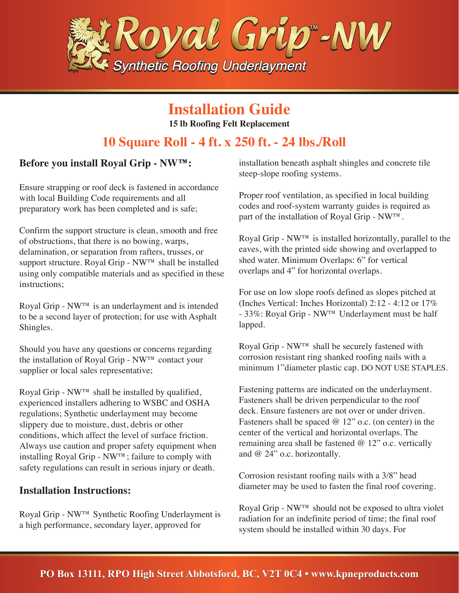

## **Installation Guide**

**15 lb Roofing Felt Replacement**

## **10 Square Roll - 4 ft. x 250 ft. - 24 lbs./Roll**

### **Before you install Royal Grip - NW™:**

Ensure strapping or roof deck is fastened in accordance with local Building Code requirements and all preparatory work has been completed and is safe;

Confirm the support structure is clean, smooth and free of obstructions, that there is no bowing, warps, delamination, or separation from rafters, trusses, or support structure. Royal Grip - NW™ shall be installed using only compatible materials and as specified in these instructions;

Royal Grip - NW™ is an underlayment and is intended to be a second layer of protection; for use with Asphalt Shingles.

Should you have any questions or concerns regarding the installation of Royal Grip - NW™ contact your supplier or local sales representative;

Royal Grip -  $NW^{TM}$  shall be installed by qualified, experienced installers adhering to WSBC and OSHA regulations; Synthetic underlayment may become slippery due to moisture, dust, debris or other conditions, which affect the level of surface friction. Always use caution and proper safety equipment when installing Royal Grip - NW™; failure to comply with safety regulations can result in serious injury or death.

#### **Installation Instructions:**

Royal Grip - NW™ Synthetic Roofing Underlayment is a high performance, secondary layer, approved for

installation beneath asphalt shingles and concrete tile steep-slope roofing systems.

Proper roof ventilation, as specified in local building codes and roof-system warranty guides is required as part of the installation of Royal Grip - NW™.

Royal Grip - NW™ is installed horizontally, parallel to the eaves, with the printed side showing and overlapped to shed water. Minimum Overlaps: 6" for vertical overlaps and 4" for horizontal overlaps.

For use on low slope roofs defined as slopes pitched at (Inches Vertical: Inches Horizontal) 2:12 - 4:12 or 17% - 33%: Royal Grip - NW™ Underlayment must be half lapped.

Royal Grip - NW™ shall be securely fastened with corrosion resistant ring shanked roofing nails with a minimum 1"diameter plastic cap. DO NOT USE STAPLES.

Fastening patterns are indicated on the underlayment. Fasteners shall be driven perpendicular to the roof deck. Ensure fasteners are not over or under driven. Fasteners shall be spaced  $@ 12"$  o.c. (on center) in the center of the vertical and horizontal overlaps. The remaining area shall be fastened @ 12" o.c. vertically and @ 24" o.c. horizontally.

Corrosion resistant roofing nails with a 3/8" head diameter may be used to fasten the final roof covering.

Royal Grip - NW™ should not be exposed to ultra violet radiation for an indefinite period of time; the final roof system should be installed within 30 days. For